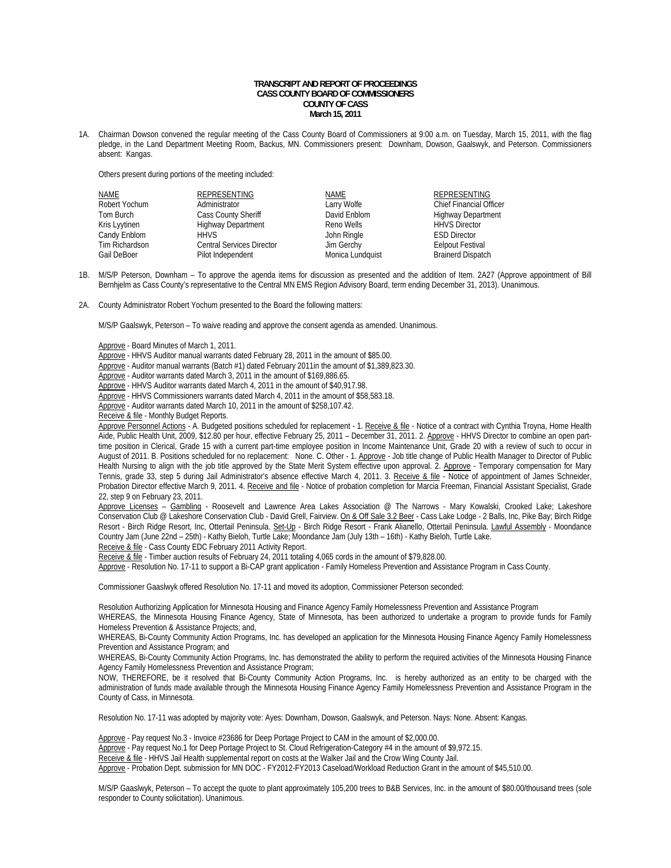## **TRANSCRIPT AND REPORT OF PROCEEDINGS CASS COUNTY BOARD OF COMMISSIONERS COUNTY OF CASS March 15, 2011**

1A. Chairman Dowson convened the regular meeting of the Cass County Board of Commissioners at 9:00 a.m. on Tuesday, March 15, 2011, with the flag pledge, in the Land Department Meeting Room, Backus, MN. Commissioners present: Downham, Dowson, Gaalswyk, and Peterson. Commissioners absent: Kangas.

Others present during portions of the meeting included:

| NAME           | <b>REPRESENTING</b>              | NAME             | <b>REPRESENTING</b>            |
|----------------|----------------------------------|------------------|--------------------------------|
| Robert Yochum  | Administrator                    | Larry Wolfe      | <b>Chief Financial Officer</b> |
| Tom Burch      | <b>Cass County Sheriff</b>       | David Enblom     | <b>Highway Department</b>      |
| Kris Lyytinen  | <b>Highway Department</b>        | Reno Wells       | <b>HHVS Director</b>           |
| Candy Enblom   | <b>HHVS</b>                      | John Ringle      | <b>ESD Director</b>            |
| Tim Richardson | <b>Central Services Director</b> | Jim Gerchy       | <b>Eelpout Festival</b>        |
| Gail DeBoer    | Pilot Independent                | Monica Lundquist |                                |

1B. M/S/P Peterson, Downham – To approve the agenda items for discussion as presented and the addition of Item. 2A27 (Approve appointment of Bill Bernhjelm as Cass County's representative to the Central MN EMS Region Advisory Board, term ending December 31, 2013). Unanimous.

2A. County Administrator Robert Yochum presented to the Board the following matters:

M/S/P Gaalswyk, Peterson – To waive reading and approve the consent agenda as amended. Unanimous.

Approve - Board Minutes of March 1, 2011.

Approve - HHVS Auditor manual warrants dated February 28, 2011 in the amount of \$85.00.

Approve - Auditor manual warrants (Batch #1) dated February 2011in the amount of \$1,389,823.30.

Approve - Auditor warrants dated March 3, 2011 in the amount of \$169,886.65.

Approve - HHVS Auditor warrants dated March 4, 2011 in the amount of \$40,917.98.

Approve - HHVS Commissioners warrants dated March 4, 2011 in the amount of \$58,583.18.

Approve - Auditor warrants dated March 10, 2011 in the amount of \$258,107.42.

Receive & file - Monthly Budget Reports.

Approve Personnel Actions - A. Budgeted positions scheduled for replacement - 1. Receive & file - Notice of a contract with Cynthia Troyna, Home Health Aide, Public Health Unit, 2009, \$12.80 per hour, effective February 25, 2011 – December 31, 2011. 2. Approve - HHVS Director to combine an open parttime position in Clerical, Grade 15 with a current part-time employee position in Income Maintenance Unit, Grade 20 with a review of such to occur in August of 2011. B. Positions scheduled for no replacement: None. C. Other - 1. Approve - Job title change of Public Health Manager to Director of Public Health Nursing to align with the job title approved by the State Merit System effective upon approval. 2. Approve - Temporary compensation for Mary Tennis, grade 33, step 5 during Jail Administrator's absence effective March 4, 2011. 3. Receive & file - Notice of appointment of James Schneider, Probation Director effective March 9, 2011. 4. Receive and file - Notice of probation completion for Marcia Freeman, Financial Assistant Specialist, Grade 22, step 9 on February 23, 2011.

Approve Licenses - Gambling - Roosevelt and Lawrence Area Lakes Association @ The Narrows - Mary Kowalski, Crooked Lake; Lakeshore Conservation Club @ Lakeshore Conservation Club - David Grell, Fairview. On & Off Sale 3.2 Beer - Cass Lake Lodge - 2 Balls, Inc, Pike Bay; Birch Ridge Resort - Birch Ridge Resort, Inc, Ottertail Peninsula. Set-Up - Birch Ridge Resort - Frank Alianello, Ottertail Peninsula. Lawful Assembly - Moondance Country Jam (June 22nd – 25th) - Kathy Bieloh, Turtle Lake; Moondance Jam (July 13th – 16th) - Kathy Bieloh, Turtle Lake. Receive & file - Cass County EDC February 2011 Activity Report.

Receive & file - Timber auction results of February 24, 2011 totaling 4,065 cords in the amount of \$79,828.00.

Approve - Resolution No. 17-11 to support a Bi-CAP grant application - Family Homeless Prevention and Assistance Program in Cass County.

Commissioner Gaaslwyk offered Resolution No. 17-11 and moved its adoption, Commissioner Peterson seconded:

Resolution Authorizing Application for Minnesota Housing and Finance Agency Family Homelessness Prevention and Assistance Program

WHEREAS, the Minnesota Housing Finance Agency, State of Minnesota, has been authorized to undertake a program to provide funds for Family Homeless Prevention & Assistance Projects; and,

WHEREAS, Bi-County Community Action Programs, Inc. has developed an application for the Minnesota Housing Finance Agency Family Homelessness Prevention and Assistance Program; and

WHEREAS, Bi-County Community Action Programs, Inc. has demonstrated the ability to perform the required activities of the Minnesota Housing Finance Agency Family Homelessness Prevention and Assistance Program;

NOW, THEREFORE, be it resolved that Bi-County Community Action Programs, Inc. is hereby authorized as an entity to be charged with the administration of funds made available through the Minnesota Housing Finance Agency Family Homelessness Prevention and Assistance Program in the County of Cass, in Minnesota.

Resolution No. 17-11 was adopted by majority vote: Ayes: Downham, Dowson, Gaalswyk, and Peterson. Nays: None. Absent: Kangas.

Approve - Pay request No.3 - Invoice #23686 for Deep Portage Project to CAM in the amount of \$2,000.00.

Approve - Pay request No.1 for Deep Portage Project to St. Cloud Refrigeration-Category #4 in the amount of \$9,972.15.

Receive & file - HHVS Jail Health supplemental report on costs at the Walker Jail and the Crow Wing County Jail.

Approve - Probation Dept. submission for MN DOC - FY2012-FY2013 Caseload/Workload Reduction Grant in the amount of \$45,510.00.

 M/S/P Gaaslwyk, Peterson – To accept the quote to plant approximately 105,200 trees to B&B Services, Inc. in the amount of \$80.00/thousand trees (sole responder to County solicitation). Unanimous.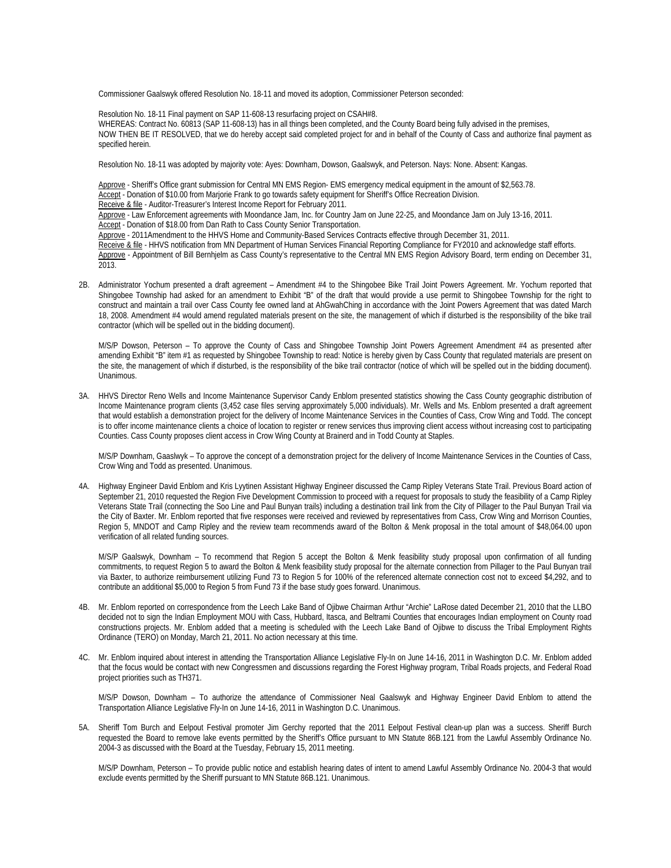Commissioner Gaalswyk offered Resolution No. 18-11 and moved its adoption, Commissioner Peterson seconded:

 Resolution No. 18-11 Final payment on SAP 11-608-13 resurfacing project on CSAH#8. WHEREAS: Contract No. 60813 (SAP 11-608-13) has in all things been completed, and the County Board being fully advised in the premises, NOW THEN BE IT RESOLVED, that we do hereby accept said completed project for and in behalf of the County of Cass and authorize final payment as specified herein.

Resolution No. 18-11 was adopted by majority vote: Ayes: Downham, Dowson, Gaalswyk, and Peterson. Nays: None. Absent: Kangas.

Approve - Sheriff's Office grant submission for Central MN EMS Region- EMS emergency medical equipment in the amount of \$2,563.78. Accept - Donation of \$10.00 from Marjorie Frank to go towards safety equipment for Sheriff's Office Recreation Division. Receive & file - Auditor-Treasurer's Interest Income Report for February 2011.

Approve - Law Enforcement agreements with Moondance Jam, Inc. for Country Jam on June 22-25, and Moondance Jam on July 13-16, 2011.

Accept - Donation of \$18.00 from Dan Rath to Cass County Senior Transportation.

Approve - 2011Amendment to the HHVS Home and Community-Based Services Contracts effective through December 31, 2011.

Receive & file - HHVS notification from MN Department of Human Services Financial Reporting Compliance for FY2010 and acknowledge staff efforts.

Approve - Appointment of Bill Bernhjelm as Cass County's representative to the Central MN EMS Region Advisory Board, term ending on December 31, 2013.

2B. Administrator Yochum presented a draft agreement – Amendment #4 to the Shingobee Bike Trail Joint Powers Agreement. Mr. Yochum reported that Shingobee Township had asked for an amendment to Exhibit "B" of the draft that would provide a use permit to Shingobee Township for the right to construct and maintain a trail over Cass County fee owned land at AhGwahChing in accordance with the Joint Powers Agreement that was dated March 18, 2008. Amendment #4 would amend regulated materials present on the site, the management of which if disturbed is the responsibility of the bike trail contractor (which will be spelled out in the bidding document).

M/S/P Dowson, Peterson – To approve the County of Cass and Shingobee Township Joint Powers Agreement Amendment #4 as presented after amending Exhibit "B" item #1 as requested by Shingobee Township to read: Notice is hereby given by Cass County that regulated materials are present on the site, the management of which if disturbed, is the responsibility of the bike trail contractor (notice of which will be spelled out in the bidding document). Unanimous.

3A. HHVS Director Reno Wells and Income Maintenance Supervisor Candy Enblom presented statistics showing the Cass County geographic distribution of Income Maintenance program clients (3,452 case files serving approximately 5,000 individuals). Mr. Wells and Ms. Enblom presented a draft agreement that would establish a demonstration project for the delivery of Income Maintenance Services in the Counties of Cass, Crow Wing and Todd. The concept is to offer income maintenance clients a choice of location to register or renew services thus improving client access without increasing cost to participating Counties. Cass County proposes client access in Crow Wing County at Brainerd and in Todd County at Staples.

 M/S/P Downham, Gaaslwyk – To approve the concept of a demonstration project for the delivery of Income Maintenance Services in the Counties of Cass, Crow Wing and Todd as presented. Unanimous.

4A. Highway Engineer David Enblom and Kris Lyytinen Assistant Highway Engineer discussed the Camp Ripley Veterans State Trail. Previous Board action of September 21, 2010 requested the Region Five Development Commission to proceed with a request for proposals to study the feasibility of a Camp Ripley Veterans State Trail (connecting the Soo Line and Paul Bunyan trails) including a destination trail link from the City of Pillager to the Paul Bunyan Trail via the City of Baxter. Mr. Enblom reported that five responses were received and reviewed by representatives from Cass, Crow Wing and Morrison Counties, Region 5, MNDOT and Camp Ripley and the review team recommends award of the Bolton & Menk proposal in the total amount of \$48,064.00 upon verification of all related funding sources.

M/S/P Gaalswyk, Downham – To recommend that Region 5 accept the Bolton & Menk feasibility study proposal upon confirmation of all funding commitments, to request Region 5 to award the Bolton & Menk feasibility study proposal for the alternate connection from Pillager to the Paul Bunyan trail via Baxter, to authorize reimbursement utilizing Fund 73 to Region 5 for 100% of the referenced alternate connection cost not to exceed \$4,292, and to contribute an additional \$5,000 to Region 5 from Fund 73 if the base study goes forward. Unanimous.

- 4B. Mr. Enblom reported on correspondence from the Leech Lake Band of Ojibwe Chairman Arthur "Archie" LaRose dated December 21, 2010 that the LLBO decided not to sign the Indian Employment MOU with Cass, Hubbard, Itasca, and Beltrami Counties that encourages Indian employment on County road constructions projects. Mr. Enblom added that a meeting is scheduled with the Leech Lake Band of Ojibwe to discuss the Tribal Employment Rights Ordinance (TERO) on Monday, March 21, 2011. No action necessary at this time.
- 4C. Mr. Enblom inquired about interest in attending the Transportation Alliance Legislative Fly-In on June 14-16, 2011 in Washington D.C. Mr. Enblom added that the focus would be contact with new Congressmen and discussions regarding the Forest Highway program, Tribal Roads projects, and Federal Road project priorities such as TH371.

M/S/P Dowson, Downham – To authorize the attendance of Commissioner Neal Gaalswyk and Highway Engineer David Enblom to attend the Transportation Alliance Legislative Fly-In on June 14-16, 2011 in Washington D.C. Unanimous.

5A. Sheriff Tom Burch and Eelpout Festival promoter Jim Gerchy reported that the 2011 Eelpout Festival clean-up plan was a success. Sheriff Burch requested the Board to remove lake events permitted by the Sheriff's Office pursuant to MN Statute 86B.121 from the Lawful Assembly Ordinance No. 2004-3 as discussed with the Board at the Tuesday, February 15, 2011 meeting.

 M/S/P Downham, Peterson – To provide public notice and establish hearing dates of intent to amend Lawful Assembly Ordinance No. 2004-3 that would exclude events permitted by the Sheriff pursuant to MN Statute 86B.121. Unanimous.